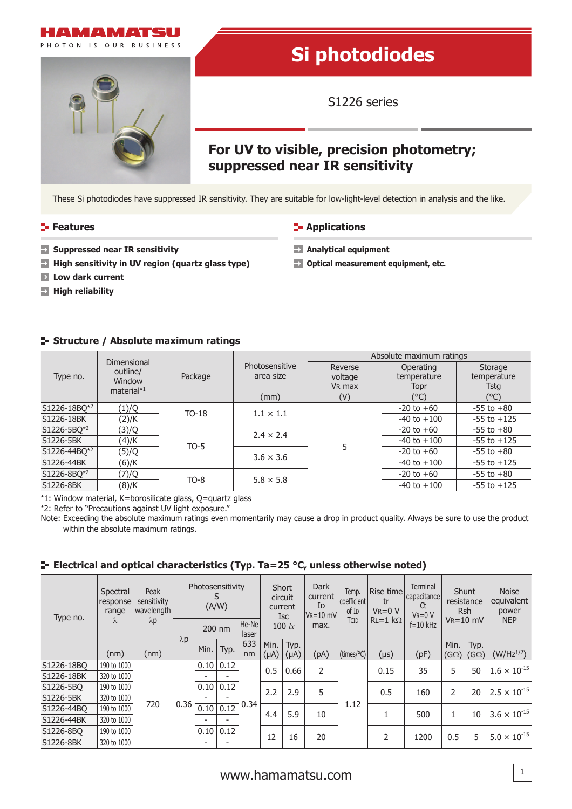



# **Si photodiodes**

S1226 series

## **For UV to visible, precision photometry; suppressed near IR sensitivity**

These Si photodiodes have suppressed IR sensitivity. They are suitable for low-light-level detection in analysis and the like.

#### **Features CONSISTENT IN Applications**

**Analytical equipment**

 $\blacksquare$  Optical measurement equipment, etc.

- **Suppressed near IR sensitivity**
- **High sensitivity in UV region (quartz glass type)**
- **Low dark current**
- **High reliability**

### **Structure / Absolute maximum ratings**

| Type no.     | Dimensional             | Package |                  | Absolute maximum ratings |                 |                        |  |  |  |  |
|--------------|-------------------------|---------|------------------|--------------------------|-----------------|------------------------|--|--|--|--|
|              | outline/                |         | Photosensitive   | Reverse                  | Operating       | Storage<br>temperature |  |  |  |  |
|              | Window<br>material $*1$ |         | area size        | voltage                  | temperature     |                        |  |  |  |  |
|              |                         |         |                  | V <sub>R</sub> max       | Topr            | <b>Tstg</b>            |  |  |  |  |
|              |                         |         | (mm)             | (V)                      | (°C)            | $(^{\circ}C)$          |  |  |  |  |
| S1226-18BQ*2 | (1)/Q                   | $TO-18$ | $1.1 \times 1.1$ |                          | $-20$ to $+60$  | $-55$ to $+80$         |  |  |  |  |
| S1226-18BK   | (2)/K                   |         |                  |                          | $-40$ to $+100$ | $-55$ to $+125$        |  |  |  |  |
| S1226-5BQ*2  | (3)/Q                   |         | $2.4 \times 2.4$ |                          | $-20$ to $+60$  | $-55$ to $+80$         |  |  |  |  |
| S1226-5BK    | (4)/K                   | $TO-5$  |                  |                          | $-40$ to $+100$ | $-55$ to $+125$        |  |  |  |  |
| S1226-44BQ*2 | (5)/Q                   |         | $3.6 \times 3.6$ | 5                        | $-20$ to $+60$  | $-55$ to $+80$         |  |  |  |  |
| S1226-44BK   | (6)/K                   |         |                  |                          | $-40$ to $+100$ | $-55$ to $+125$        |  |  |  |  |
| S1226-8BQ*2  | (7)/Q                   | $TO-8$  | $5.8 \times 5.8$ |                          | $-20$ to $+60$  | $-55$ to $+80$         |  |  |  |  |
| S1226-8BK    | (8)/K                   |         |                  |                          | $-40$ to $+100$ | $-55$ to $+125$        |  |  |  |  |

\*1: Window material, K=borosilicate glass, Q=quartz glass

\*2: Refer to "Precautions against UV light exposure."

Note: Exceeding the absolute maximum ratings even momentarily may cause a drop in product quality. Always be sure to use the product within the absolute maximum ratings.

#### **Electrical and optical characteristics (Typ. Ta=25 °C, unless otherwise noted)**

| Type no.   | Spectral<br>response<br>range<br>λ | Peak<br>sensitivity<br>wavelength<br>$\lambda p$ | Photosensitivity<br>(A/W) |      |      | Short<br>circuit<br>current<br><b>Isc</b> |                   | <b>Dark</b><br>current<br>ID<br>$V$ R=10 mV | Temp.<br>coefficient<br>of I <sub>D</sub> | Rise time<br>tr<br>$V_R = 0 V$ | <b>Terminal</b><br>capacitance<br>Ct<br>$V_R = 0 V$ | Shunt<br>resistance<br><b>Rsh</b> |                     | <b>Noise</b><br>equivalent<br>power |                       |
|------------|------------------------------------|--------------------------------------------------|---------------------------|------|------|-------------------------------------------|-------------------|---------------------------------------------|-------------------------------------------|--------------------------------|-----------------------------------------------------|-----------------------------------|---------------------|-------------------------------------|-----------------------|
|            |                                    |                                                  | 200 nm                    |      |      | He-Ne<br>laser                            | 100 $lx$          |                                             | max.                                      | Tcid                           | $RL = 1 k\Omega$                                    | $f = 10$ kHz                      | $V_R = 10$ mV       |                                     | <b>NEP</b>            |
|            | (nm)                               | (nm)                                             | $\lambda p$               | Min. | Typ. | 633<br>nm                                 | Min.<br>$(\mu A)$ | Typ.<br>(µA)                                | (pA)                                      | (times/°C)                     | (µs)                                                | (pF)                              | Min.<br>$(G\Omega)$ | Typ.<br>(G $\Omega$ )               | $(W/Hz^{1/2})$        |
| S1226-18BO | 190 to 1000                        | 720                                              |                           | 0.10 | 0.12 |                                           | 0.5               | 0.66                                        |                                           | $\overline{2}$                 | 0.15                                                | 35                                | 5                   | 50                                  | $1.6 \times 10^{-15}$ |
| S1226-18BK | 320 to 1000                        |                                                  |                           |      |      |                                           |                   |                                             |                                           |                                |                                                     |                                   |                     |                                     |                       |
| S1226-5BO  | 190 to 1000                        |                                                  |                           | 0.10 | 0.12 | 2.2                                       | 2.9               | 5                                           |                                           | 0.5                            | 160                                                 | 2                                 | 20                  | $2.5 \times 10^{-15}$               |                       |
| S1226-5BK  | 320 to 1000                        |                                                  |                           |      |      | 0.34                                      |                   |                                             |                                           | 1.12                           |                                                     |                                   |                     |                                     |                       |
| S1226-44BO | 190 to 1000                        |                                                  | 0.36                      | 0.10 | 0.12 |                                           | 4.4               | 5.9                                         | 10                                        |                                |                                                     | 500                               |                     | 10                                  | $3.6 \times 10^{-15}$ |
| S1226-44BK | 320 to 1000                        |                                                  |                           |      |      |                                           |                   |                                             |                                           |                                |                                                     |                                   |                     |                                     |                       |
| S1226-8BO  | 190 to 1000                        |                                                  |                           | 0.10 | 0.12 | 12                                        |                   | 20                                          |                                           | 2                              |                                                     | 0.5                               | 5                   | $5.0 \times 10^{-15}$               |                       |
| S1226-8BK  | 320 to 1000                        |                                                  |                           |      |      |                                           |                   | 16                                          |                                           |                                |                                                     | 1200                              |                     |                                     |                       |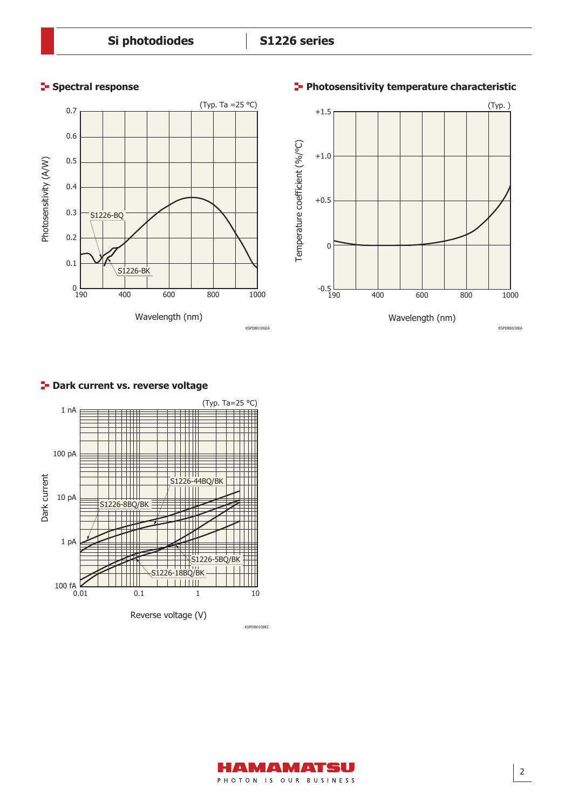



### **P** Dark current vs. reverse voltage



#### **Spectral response Photosensitivity temperature characteristic**

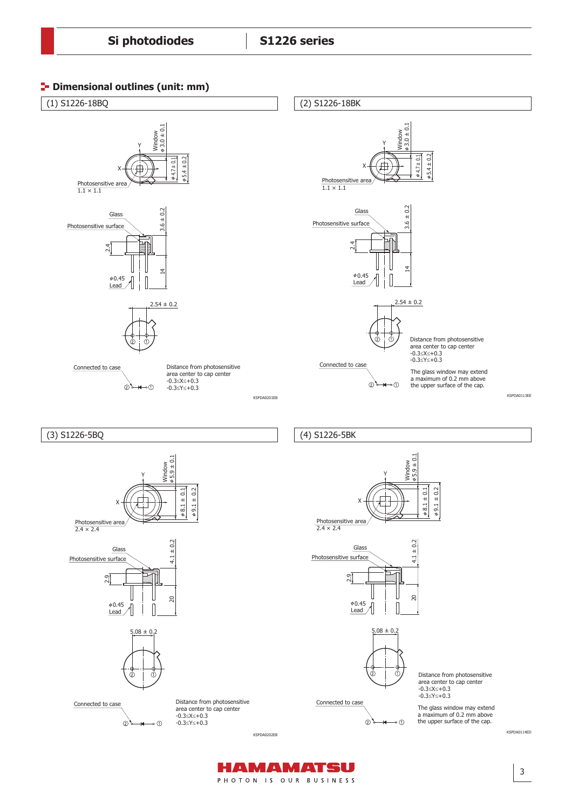



HAMAMATSU PHOTON IS OUR BUSINESS

3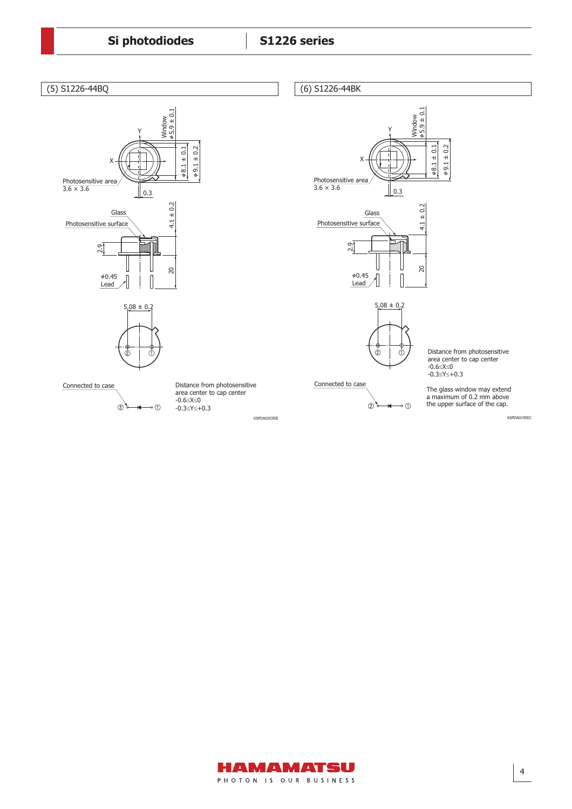

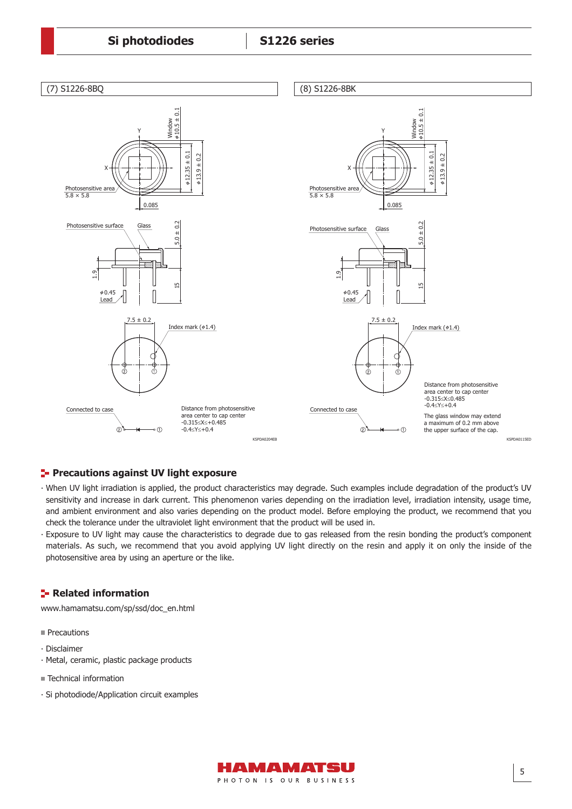

#### **Precautions against UV light exposure**

- ∙ When UV light irradiation is applied, the product characteristics may degrade. Such examples include degradation of the product's UV sensitivity and increase in dark current. This phenomenon varies depending on the irradiation level, irradiation intensity, usage time, and ambient environment and also varies depending on the product model. Before employing the product, we recommend that you check the tolerance under the ultraviolet light environment that the product will be used in.
- ∙ Exposure to UV light may cause the characteristics to degrade due to gas released from the resin bonding the product's component materials. As such, we recommend that you avoid applying UV light directly on the resin and apply it on only the inside of the photosensitive area by using an aperture or the like.

#### **Related information**

[www.hamamatsu.com/sp/ssd/doc\\_en.html](http://www.hamamatsu.com/sp/ssd/doc_en.html)

**Precautions** 

- ∙ Disclaimer
- ∙ Metal, ceramic, plastic package products
- Technical information
- ∙ Si photodiode/Application circuit examples